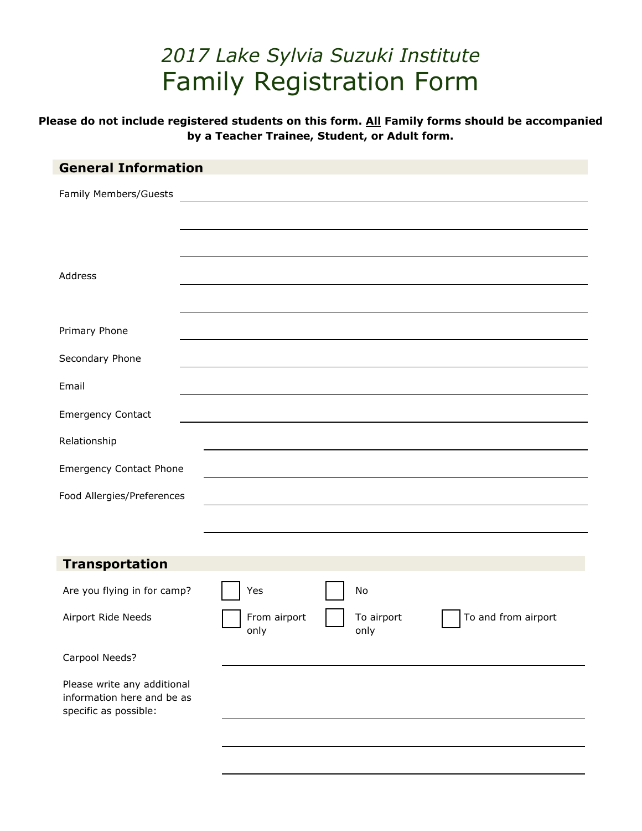# *2017 Lake Sylvia Suzuki Institute*  Family Registration Form

**Please do not include registered students on this form. All Family forms should be accompanied by a Teacher Trainee, Student, or Adult form.** 

| <b>General Information</b>                                                         |                      |                    |                     |
|------------------------------------------------------------------------------------|----------------------|--------------------|---------------------|
| Family Members/Guests                                                              |                      |                    |                     |
|                                                                                    |                      |                    |                     |
|                                                                                    |                      |                    |                     |
| Address                                                                            |                      |                    |                     |
|                                                                                    |                      |                    |                     |
| Primary Phone                                                                      |                      |                    |                     |
|                                                                                    |                      |                    |                     |
| Secondary Phone                                                                    |                      |                    |                     |
| Email                                                                              |                      |                    |                     |
| <b>Emergency Contact</b>                                                           |                      |                    |                     |
| Relationship                                                                       |                      |                    |                     |
| <b>Emergency Contact Phone</b>                                                     |                      |                    |                     |
| Food Allergies/Preferences                                                         |                      |                    |                     |
|                                                                                    |                      |                    |                     |
|                                                                                    |                      |                    |                     |
| <b>Transportation</b>                                                              |                      |                    |                     |
| Are you flying in for camp?                                                        | Yes                  | No                 |                     |
| Airport Ride Needs                                                                 | From airport<br>only | To airport<br>only | To and from airport |
| Carpool Needs?                                                                     |                      |                    |                     |
| Please write any additional<br>information here and be as<br>specific as possible: |                      |                    |                     |
|                                                                                    |                      |                    |                     |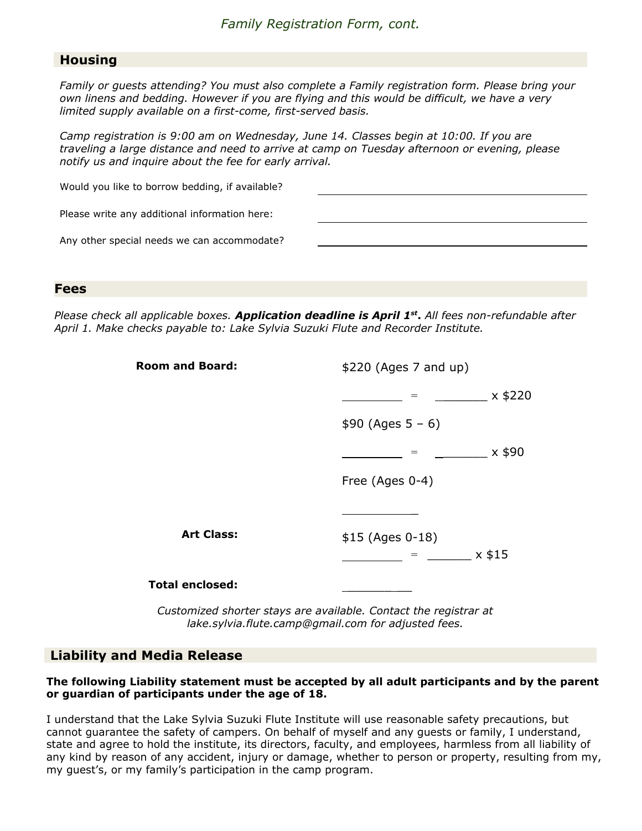## **Housing**

*Family or guests attending? You must also complete a Family registration form. Please bring your own linens and bedding. However if you are flying and this would be difficult, we have a very limited supply available on a first-come, first-served basis.* 

*Camp registration is 9:00 am on Wednesday, June 14. Classes begin at 10:00. If you are traveling a large distance and need to arrive at camp on Tuesday afternoon or evening, please notify us and inquire about the fee for early arrival.* 

| Would you like to borrow bedding, if available? |  |
|-------------------------------------------------|--|
| Please write any additional information here:   |  |
| Any other special needs we can accommodate?     |  |
|                                                 |  |

#### **Fees**

*Please check all applicable boxes. Application deadline is April 1 st* **.** *All fees non-refundable after April 1. Make checks payable to: Lake Sylvia Suzuki Flute and Recorder Institute.*

| <b>Room and Board:</b> | \$220 (Ages 7 and up) |  |
|------------------------|-----------------------|--|
|                        | $x$ \$220<br>$=$      |  |
|                        | $$90 (Ages 5 - 6)$    |  |
|                        | x \$90                |  |
|                        | Free (Ages 0-4)       |  |
|                        |                       |  |
| <b>Art Class:</b>      | \$15 (Ages 0-18)      |  |
|                        | $x$ \$15              |  |
| <b>Total enclosed:</b> |                       |  |

*Customized shorter stays are available. Contact the registrar at lake.sylvia.flute.camp@gmail.com for adjusted fees.* 

## **Liability and Media Release**

### **The following Liability statement must be accepted by all adult participants and by the parent or guardian of participants under the age of 18.**

I understand that the Lake Sylvia Suzuki Flute Institute will use reasonable safety precautions, but cannot guarantee the safety of campers. On behalf of myself and any guests or family, I understand, state and agree to hold the institute, its directors, faculty, and employees, harmless from all liability of any kind by reason of any accident, injury or damage, whether to person or property, resulting from my, my guest's, or my family's participation in the camp program.